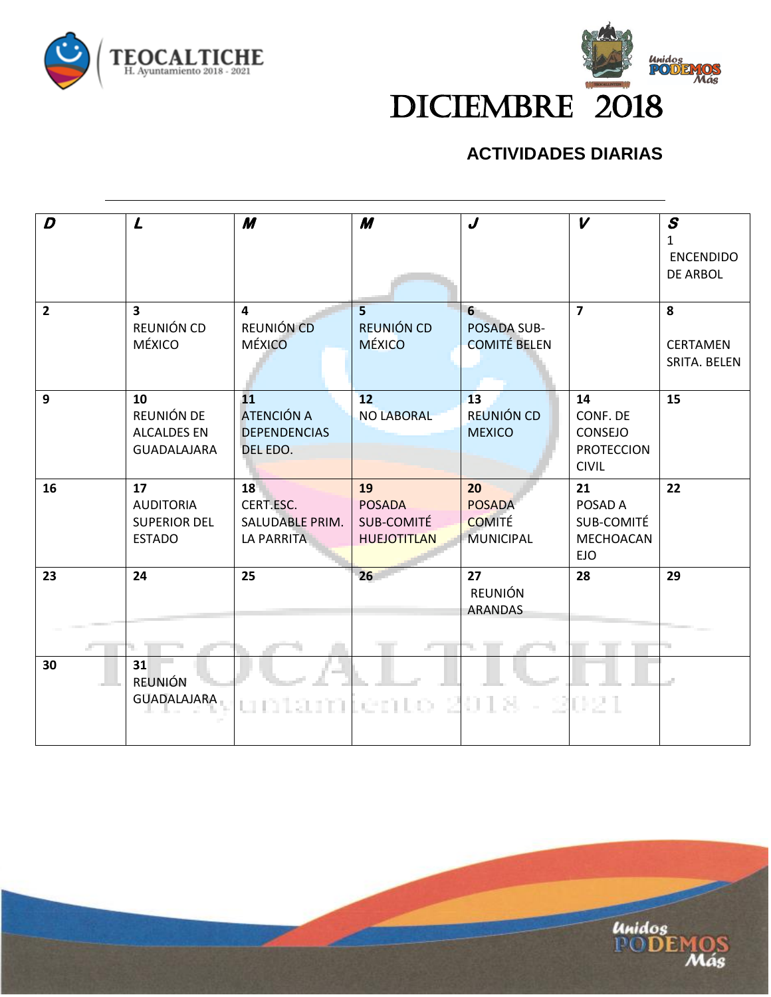



#### **ACTIVIDADES DIARIAS**

| D              | $\mathbf{L}$                                                   | M                                                          | M                                                       | J                                                        | $\boldsymbol{V}$                                               | $\boldsymbol{s}$<br>$\mathbf{1}$<br><b>ENCENDIDO</b><br><b>DE ARBOL</b> |
|----------------|----------------------------------------------------------------|------------------------------------------------------------|---------------------------------------------------------|----------------------------------------------------------|----------------------------------------------------------------|-------------------------------------------------------------------------|
| $\overline{2}$ | $\overline{\mathbf{3}}$<br>REUNIÓN CD<br>MÉXICO                | $\overline{\mathbf{4}}$<br>REUNIÓN CD<br>MÉXICO            | 5 <sup>1</sup><br>REUNIÓN CD<br><b>MÉXICO</b>           | 6<br>POSADA SUB-<br><b>COMITÉ BELEN</b>                  | $\overline{7}$                                                 | 8<br><b>CERTAMEN</b><br>SRITA. BELEN                                    |
| 9              | 10<br>REUNIÓN DE<br><b>ALCALDES EN</b><br>GUADALAJARA          | 11<br><b>ATENCIÓN A</b><br><b>DEPENDENCIAS</b><br>DEL EDO. | 12<br><b>NO LABORAL</b>                                 | 13<br>REUNIÓN CD<br><b>MEXICO</b>                        | 14<br>CONF. DE<br>CONSEJO<br><b>PROTECCION</b><br><b>CIVIL</b> | 15                                                                      |
| 16             | 17<br><b>AUDITORIA</b><br><b>SUPERIOR DEL</b><br><b>ESTADO</b> | 18<br>CERT.ESC.<br>SALUDABLE PRIM.<br><b>LA PARRITA</b>    | 19<br><b>POSADA</b><br>SUB-COMITÉ<br><b>HUEJOTITLAN</b> | 20<br><b>POSADA</b><br><b>COMITÉ</b><br><b>MUNICIPAL</b> | 21<br>POSAD A<br>SUB-COMITÉ<br>MECHOACAN<br><b>EJO</b>         | 22                                                                      |
| 23             | 24                                                             | 25                                                         | 26                                                      | 27<br>REUNIÓN<br><b>ARANDAS</b>                          | 28                                                             | 29<br>÷.                                                                |
| 30             | 31<br><b>REUNIÓN</b><br><b>GUADALAJARA</b>                     | untambénto 2018.                                           |                                                         |                                                          | 2021                                                           |                                                                         |

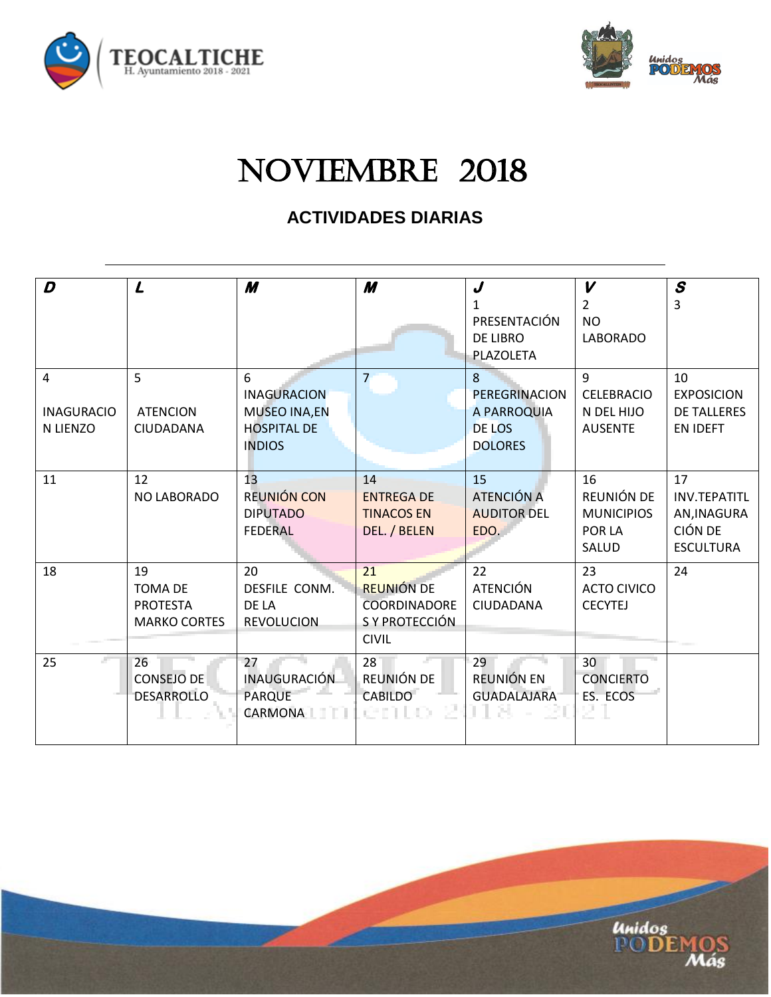



**Unidos**<br>PO**DEMO** 

# NOVIEMBRE 2018

#### **ACTIVIDADES DIARIAS**

| D                                  | $\mathbf{L}$                                                   | M                                                                                     | M                                                                                | J<br>1<br>PRESENTACIÓN<br>DE LIBRO<br>PLAZOLETA                      | $\boldsymbol{V}$<br>2<br><b>NO</b><br><b>LABORADO</b>    | $\boldsymbol{s}$<br>3                                                          |
|------------------------------------|----------------------------------------------------------------|---------------------------------------------------------------------------------------|----------------------------------------------------------------------------------|----------------------------------------------------------------------|----------------------------------------------------------|--------------------------------------------------------------------------------|
| 4<br><b>INAGURACIO</b><br>N LIENZO | 5<br><b>ATENCION</b><br>CIUDADANA                              | 6<br><b>INAGURACION</b><br><b>MUSEO INA,EN</b><br><b>HOSPITAL DE</b><br><b>INDIOS</b> | 7                                                                                | 8<br><b>PEREGRINACION</b><br>A PARROQUIA<br>DE LOS<br><b>DOLORES</b> | 9<br><b>CELEBRACIO</b><br>N DEL HIJO<br><b>AUSENTE</b>   | 10<br><b>EXPOSICION</b><br><b>DE TALLERES</b><br><b>EN IDEFT</b>               |
| 11                                 | 12<br>NO LABORADO                                              | 13<br>REUNIÓN CON<br><b>DIPUTADO</b><br><b>FEDERAL</b>                                | 14<br><b>ENTREGA DE</b><br><b>TINACOS EN</b><br>DEL. / BELEN                     | 15<br>ATENCIÓN A<br><b>AUDITOR DEL</b><br>EDO.                       | 16<br>REUNIÓN DE<br><b>MUNICIPIOS</b><br>POR LA<br>SALUD | 17<br><b>INV.TEPATITL</b><br>AN, INAGURA<br><b>CIÓN DE</b><br><b>ESCULTURA</b> |
| 18                                 | 19<br><b>TOMA DE</b><br><b>PROTESTA</b><br><b>MARKO CORTES</b> | 20<br>DESFILE CONM.<br>DE LA<br><b>REVOLUCION</b>                                     | 21<br><b>REUNIÓN DE</b><br><b>COORDINADORE</b><br>S Y PROTECCIÓN<br><b>CIVIL</b> | 22<br><b>ATENCIÓN</b><br>CIUDADANA                                   | 23<br><b>ACTO CIVICO</b><br><b>CECYTEJ</b>               | 24                                                                             |
| 25                                 | 26<br><b>CONSEJO DE</b><br><b>DESARROLLO</b>                   | 27<br><b>INAUGURACIÓN</b><br><b>PARQUE</b><br><b>CARMONA</b>                          | 28<br>REUNIÓN DE<br><b>CABILDO</b><br>ento z                                     | 29<br>REUNIÓN EN<br><b>GUADALAJARA</b>                               | 30<br><b>CONCIERTO</b><br>ES. ECOS                       |                                                                                |